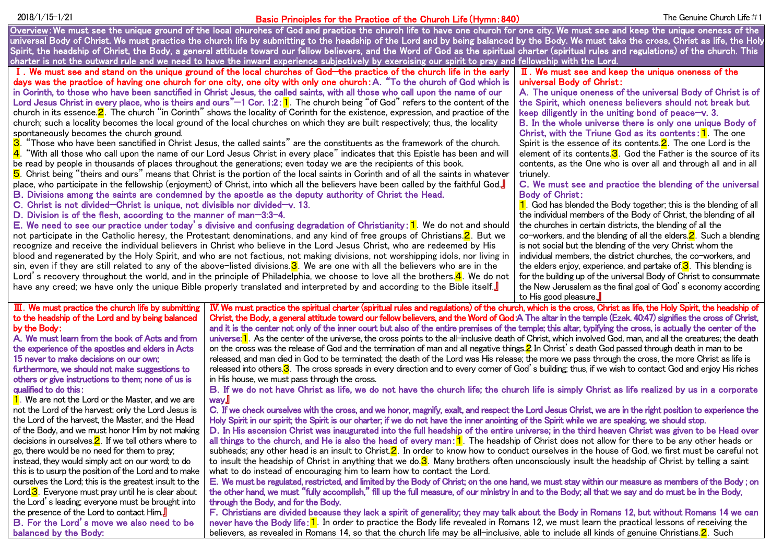# Basic Principles for the Practice of the Church Life(Hymn:840) 2018/1/15-1/21 The Genuine Church Life#1

Overview: We must see the unique ground of the local churches of God and practice the church life to have one church for one city. We must see and keep the unique oneness of the universal Body of Christ. We must practice the church life by submitting to the headship of the Lord and by being balanced by the Body. We must take the cross, Christ as life, the Holy Spirit, the headship of Christ, the Body, a general attitude toward our fellow believers, and the Word of God as the spiritual charter (spiritual rules and regulations) of the church. This charter is not the outward rule and we need to have the inward experience subjectively by exercising our spirit to pray and fellowship with the Lord.

Ⅰ.We must see and stand on the unique ground of the local churches of God—the practice of the church life in the early days was the practice of having one church for one city, one city with only one church:A."To the church of God which is in Corinth, to those who have been sanctified in Christ Jesus, the called saints, with all those who call upon the name of our Lord Jesus Christ in every place, who is theirs and ours" $-1$  Cor. 1:2:1. The church being "of God" refers to the content of the church in its essence.  $2$ . The church "in Corinth" shows the locality of Corinth for the existence, expression, and practice of the church; such a locality becomes the local ground of the local churches on which they are built respectively; thus, the locality spontaneously becomes the church ground.<br>**3.** "Those who have been sanctified in Chri

3."Those who have been sanctified in Christ Jesus, the called saints" are the constituents as the framework of the church. 4. "With all those who call upon the name of our Lord Jesus Christ in every place" indicates that this Epistle has been and will be read by people in thousands of places throughout the generations; even today we are the recipients of this book.

5. Christ being "theirs and ours" means that Christ is the portion of the local saints in Corinth and of all the saints in whatever place, who participate in the fellowship (enjoyment) of Christ, into which all the believers have been called by the faithful God.』

- B.Divisions among the saints are condemned by the apostle as the deputy authority of Christ the Head.
- C.Christ is not divided—Christ is unique, not divisible nor divided—v. 13.
- D. Division is of the flesh, according to the manner of man-3:3-4.

E. We need to see our practice under today's divisive and confusing degradation of Christianity:  $1$ . We do not and should not participate in the Catholic heresy, the Protestant denominations, and any kind of free groups of Christians. 2. But we recognize and receive the individual believers in Christ who believe in the Lord Jesus Christ, who are redeemed by His blood and regenerated by the Holy Spirit, and who are not factious, not making divisions, not worshipping idols, nor living in sin, even if they are still related to any of the above-listed divisions.  $3$ . We are one with all the believers who are in the Lord's recovery throughout the world, and in the principle of Philadelphia, we choose to love all the brothers. 4. We do not have any creed; we have only the unique Bible properly translated and interpreted by and according to the Bible itself.』

#### Ⅱ.We must see and keep the unique oneness of the universal Body of Christ:

A.The unique oneness of the universal Body of Christ is of the Spirit, which oneness believers should not break but keep diligently in the uniting bond of peace—v. 3.

B.In the whole universe there is only one unique Body of Christ, with the Triune God as its contents:  $1$ . The one Spirit is the essence of its contents. $2$ . The one Lord is the element of its contents.  $\overline{3}$ . God the Father is the source of its contents, as the One who is over all and through all and in all triunely.

### C.We must see and practice the blending of the universal Body of Christ:

 $1$ . God has blended the Body together; this is the blending of all the individual members of the Body of Christ, the blending of all the churches in certain districts, the blending of all the co-workers, and the blending of all the elders.  $2$ . Such a blending is not social but the blending of the very Christ whom the individual members, the district churches, the co-workers, and the elders enjoy, experience, and partake of  $3$ . This blending is for the building up of the universal Body of Christ to consummate the New Jerusalem as the final goal of God's economy according to His good pleasure.

### Ⅲ.We must practice the church life by submitting to the headship of the Lord and by being balanced by the Body:

A.We must learn from the book of Acts and from the experience of the apostles and elders in Acts 15 never to make decisions on our own;

furthermore, we should not make suggestions to others or give instructions to them; none of us is qualified to do this:

1. We are not the Lord or the Master, and we are not the Lord of the harvest; only the Lord Jesus is the Lord of the harvest, the Master, and the Head of the Body, and we must honor Him by not making decisions in ourselves. $2$ . If we tell others where to go, there would be no need for them to pray;

instead, they would simply act on our word; to do this is to usurp the position of the Lord and to make ourselves the Lord; this is the greatest insult to the Lord.<sup>3</sup>. Everyone must pray until he is clear about the Lord's leading; everyone must be brought into the presence of the Lord to contact Him.』 B.For the Lord's move we also need to be balanced by the Body:

Ⅳ.We must practice the spiritual charter (spiritual rules and regulations) of the church, which is the cross, Christ as life, the Holy Spirit, the headship of Christ, the Body, a general attitude toward our fellow believers, and the Word of God:A.The altar in the temple (Ezek. 40:47) signifies the cross of Christ, and it is the center not only of the inner court but also of the entire premises of the temple; this altar, typifying the cross, is actually the center of the universe: 1. As the center of the universe, the cross points to the all-inclusive death of Christ, which involved God, man, and all the creatures; the death on the cross was the release of God and the termination of man and all negative things. 2 In Christ's death God passed through death in man to be released, and man died in God to be terminated; the death of the Lord was His release; the more we pass through the cross, the more Christ as life is released into others.<sup>3</sup>. The cross spreads in every direction and to every corner of God's building; thus, if we wish to contact God and enjoy His riches in His house, we must pass through the cross.

B.If we do not have Christ as life, we do not have the church life; the church life is simply Christ as life realized by us in a corporate wav**』** 

C.If we check ourselves with the cross, and we honor, magnify, exalt, and respect the Lord Jesus Christ, we are in the right position to experience the Holy Spirit in our spirit; the Spirit is our charter; if we do not have the inner anointing of the Spirit while we are speaking, we should stop.

D.In His ascension Christ was inaugurated into the full headship of the entire universe; in the third heaven Christ was given to be Head over all things to the church, and He is also the head of every man:  $1$ . The headship of Christ does not allow for there to be any other heads or subheads; any other head is an insult to Christ.2. In order to know how to conduct ourselves in the house of God, we first must be careful not to insult the headship of Christ in anything that we do.  $\overline{3}$ . Many brothers often unconsciously insult the headship of Christ by telling a saint what to do instead of encouraging him to learn how to contact the Lord.

E.We must be regulated, restricted, and limited by the Body of Christ; on the one hand, we must stay within our measure as members of the Body ; on the other hand, we must "fully accomplish," fill up the full measure, of our ministry in and to the Body; all that we say and do must be in the Body, through the Body, and for the Body.

F.Christians are divided because they lack a spirit of generality; they may talk about the Body in Romans 12, but without Romans 14 we can never have the Body life: 1. In order to practice the Body life revealed in Romans 12, we must learn the practical lessons of receiving the believers, as revealed in Romans 14, so that the church life may be all-inclusive, able to include all kinds of genuine Christians. 2. Such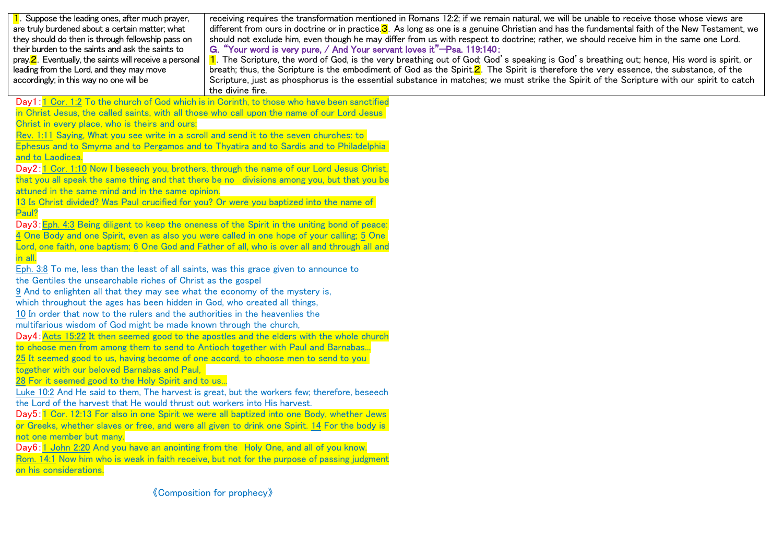| 1. Suppose the leading ones, after much prayer,<br>are truly burdened about a certain matter; what<br>they should do then is through fellowship pass on<br>their burden to the saints and ask the saints to<br>pray. <b>2</b> . Eventually, the saints will receive a personal<br>leading from the Lord, and they may move<br>accordingly; in this way no one will be                                                                                                                                                                                                                                                                                                                                                                                                                                                                                                                                                                                                                                                                                                                                                                                                                                                                                                                                                                                                                                                                                                                                                                                                                                                                                                                                                                                                                                                                                                                                                                                                                                                                                                                                                                                                                                                                                       | receiving requires the transformation mentioned in Romans 12:2; if we remain natural, we will be unable to receive those whose views are<br>different from ours in doctrine or in practice.3. As long as one is a genuine Christian and has the fundamental faith of the New Testament, we<br>should not exclude him, even though he may differ from us with respect to doctrine; rather, we should receive him in the same one Lord.<br>G. "Your word is very pure, / And Your servant loves it"-Psa. 119:140:<br>1. The Scripture, the word of God, is the very breathing out of God; God's speaking is God's breathing out; hence, His word is spirit, or<br>breath; thus, the Scripture is the embodiment of God as the Spirit. $2$ . The Spirit is therefore the very essence, the substance, of the<br>Scripture, just as phosphorus is the essential substance in matches; we must strike the Spirit of the Scripture with our spirit to catch<br>the divine fire. |
|-------------------------------------------------------------------------------------------------------------------------------------------------------------------------------------------------------------------------------------------------------------------------------------------------------------------------------------------------------------------------------------------------------------------------------------------------------------------------------------------------------------------------------------------------------------------------------------------------------------------------------------------------------------------------------------------------------------------------------------------------------------------------------------------------------------------------------------------------------------------------------------------------------------------------------------------------------------------------------------------------------------------------------------------------------------------------------------------------------------------------------------------------------------------------------------------------------------------------------------------------------------------------------------------------------------------------------------------------------------------------------------------------------------------------------------------------------------------------------------------------------------------------------------------------------------------------------------------------------------------------------------------------------------------------------------------------------------------------------------------------------------------------------------------------------------------------------------------------------------------------------------------------------------------------------------------------------------------------------------------------------------------------------------------------------------------------------------------------------------------------------------------------------------------------------------------------------------------------------------------------------------|---------------------------------------------------------------------------------------------------------------------------------------------------------------------------------------------------------------------------------------------------------------------------------------------------------------------------------------------------------------------------------------------------------------------------------------------------------------------------------------------------------------------------------------------------------------------------------------------------------------------------------------------------------------------------------------------------------------------------------------------------------------------------------------------------------------------------------------------------------------------------------------------------------------------------------------------------------------------------|
| Day1:1 Cor. 1:2 To the church of God which is in Corinth, to those who have been sanctified<br>in Christ Jesus, the called saints, with all those who call upon the name of our Lord Jesus<br>Christ in every place, who is theirs and ours:<br>Rev. 1:11 Saying, What you see write in a scroll and send it to the seven churches: to<br>Ephesus and to Smyrna and to Pergamos and to Thyatira and to Sardis and to Philadelphia<br>and to Laodicea.<br>Day2:1 Cor. 1:10 Now I beseech you, brothers, through the name of our Lord Jesus Christ,<br>that you all speak the same thing and that there be no divisions among you, but that you be<br>attuned in the same mind and in the same opinion.<br>13 Is Christ divided? Was Paul crucified for you? Or were you baptized into the name of<br>Paul?<br>Day3: Eph. 4:3 Being diligent to keep the oneness of the Spirit in the uniting bond of peace:<br>4 One Body and one Spirit, even as also you were called in one hope of your calling; 5 One<br>Lord, one faith, one baptism; 6 One God and Father of all, who is over all and through all and<br>in all.<br>Eph. 3:8 To me, less than the least of all saints, was this grace given to announce to<br>the Gentiles the unsearchable riches of Christ as the gospel<br>9 And to enlighten all that they may see what the economy of the mystery is,<br>which throughout the ages has been hidden in God, who created all things,<br>10 In order that now to the rulers and the authorities in the heavenlies the<br>multifarious wisdom of God might be made known through the church,<br>Day4: Acts 15:22 It then seemed good to the apostles and the elders with the whole church<br>to choose men from among them to send to Antioch together with Paul and Barnabas<br>25 It seemed good to us, having become of one accord, to choose men to send to you<br>together with our beloved Barnabas and Paul,<br>28 For it seemed good to the Holy Spirit and to us<br>Luke 10:2 And He said to them, The harvest is great, but the workers few; therefore, beseech<br>the Lord of the harvest that He would thrust out workers into His harvest.<br>Day5: 1 Cor. 12:13 For also in one Spirit we were all baptized into one Body, whether Jews |                                                                                                                                                                                                                                                                                                                                                                                                                                                                                                                                                                                                                                                                                                                                                                                                                                                                                                                                                                           |
| or Greeks, whether slaves or free, and were all given to drink one Spirit. 14 For the body is<br>not one member but many.<br>Day6: 1 John 2:20 And you have an anointing from the Holy One, and all of you know.<br>Rom. 14:1 Now him who is weak in faith receive, but not for the purpose of passing judgment<br>on his considerations.                                                                                                                                                                                                                                                                                                                                                                                                                                                                                                                                                                                                                                                                                                                                                                                                                                                                                                                                                                                                                                                                                                                                                                                                                                                                                                                                                                                                                                                                                                                                                                                                                                                                                                                                                                                                                                                                                                                   |                                                                                                                                                                                                                                                                                                                                                                                                                                                                                                                                                                                                                                                                                                                                                                                                                                                                                                                                                                           |
|                                                                                                                                                                                                                                                                                                                                                                                                                                                                                                                                                                                                                                                                                                                                                                                                                                                                                                                                                                                                                                                                                                                                                                                                                                                                                                                                                                                                                                                                                                                                                                                                                                                                                                                                                                                                                                                                                                                                                                                                                                                                                                                                                                                                                                                             | <b>《Composition for prophecy》</b>                                                                                                                                                                                                                                                                                                                                                                                                                                                                                                                                                                                                                                                                                                                                                                                                                                                                                                                                         |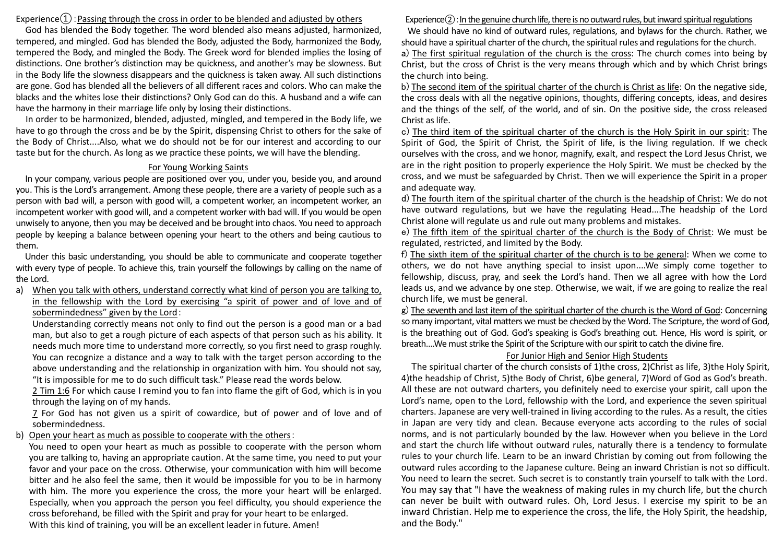# Experience $(1)$ : Passing through the cross in order to be blended and adjusted by others

God has blended the Body together. The word blended also means adjusted, harmonized, tempered, and mingled. God has blended the Body, adjusted the Body, harmonized the Body, tempered the Body, and mingled the Body. The Greek word for blended implies the losing of distinctions. One brother's distinction may be quickness, and another's may be slowness. But in the Body life the slowness disappears and the quickness is taken away. All such distinctions are gone. God has blended all the believers of all different races and colors. Who can make the blacks and the whites lose their distinctions? Only God can do this. A husband and a wife can have the harmony in their marriage life only by losing their distinctions.

In order to be harmonized, blended, adjusted, mingled, and tempered in the Body life, we have to go through the cross and be by the Spirit, dispensing Christ to others for the sake of the Body of Christ....Also, what we do should not be for our interest and according to our taste but for the church. As long as we practice these points, we will have the blending.

### For Young Working Saints

In your company, various people are positioned over you, under you, beside you, and around you. This is the Lord's arrangement. Among these people, there are a variety of people such as a person with bad will, a person with good will, a competent worker, an incompetent worker, an incompetent worker with good will, and a competent worker with bad will. If you would be open unwisely to anyone, then you may be deceived and be brought into chaos. You need to approach people by keeping a balance between opening your heart to the others and being cautious to them.

Under this basic understanding, you should be able to communicate and cooperate together with every type of people. To achieve this, train yourself the followings by calling on the name of the Lord.

# a) When you talk with others, understand correctly what kind of person you are talking to, in the fellowship with the Lord by exercising "a spirit of power and of love and of sobermindedness" given by the Lord:

Understanding correctly means not only to find out the person is a good man or a bad man, but also to get a rough picture of each aspects of that person such as his ability. It needs much more time to understand more correctly, so you first need to grasp roughly. You can recognize a distance and a way to talk with the target person according to the above understanding and the relationship in organization with him. You should not say, "It is impossible for me to do such difficult task." Please read the words below.

2 Tim 1:6 For which cause I remind you to fan into flame the gift of God, which is in you through the laying on of my hands.

7 For God has not given us a spirit of cowardice, but of power and of love and of sobermindedness.

### b) Open your heart as much as possible to cooperate with the others:

You need to open your heart as much as possible to cooperate with the person whom you are talking to, having an appropriate caution. At the same time, you need to put your favor and your pace on the cross. Otherwise, your communication with him will become bitter and he also feel the same, then it would be impossible for you to be in harmony with him. The more you experience the cross, the more your heart will be enlarged. Especially, when you approach the person you feel difficulty, you should experience the cross beforehand, be filled with the Spirit and pray for your heart to be enlarged. With this kind of training, you will be an excellent leader in future. Amen!

### Experience $(2)$ : In the genuine church life, there is no outward rules, but inward spiritual regulations

We should have no kind of outward rules, regulations, and bylaws for the church. Rather, we should have a spiritual charter of the church, the spiritual rules and regulations for the church. a) The first spiritual regulation of the church is the cross: The church comes into being by Christ, but the cross of Christ is the very means through which and by which Christ brings the church into being.

b) The second item of the spiritual charter of the church is Christ as life: On the negative side, the cross deals with all the negative opinions, thoughts, differing concepts, ideas, and desires and the things of the self, of the world, and of sin. On the positive side, the cross released Christ as life.

c) The third item of the spiritual charter of the church is the Holy Spirit in our spirit: The Spirit of God, the Spirit of Christ, the Spirit of life, is the living regulation. If we check ourselves with the cross, and we honor, magnify, exalt, and respect the Lord Jesus Christ, we are in the right position to properly experience the Holy Spirit. We must be checked by the cross, and we must be safeguarded by Christ. Then we will experience the Spirit in a proper and adequate way.

d) The fourth item of the spiritual charter of the church is the headship of Christ: We do not have outward regulations, but we have the regulating Head....The headship of the Lord Christ alone will regulate us and rule out many problems and mistakes.

e) The fifth item of the spiritual charter of the church is the Body of Christ: We must be regulated, restricted, and limited by the Body.

f) The sixth item of the spiritual charter of the church is to be general: When we come to others, we do not have anything special to insist upon....We simply come together to fellowship, discuss, pray, and seek the Lord's hand. Then we all agree with how the Lord leads us, and we advance by one step. Otherwise, we wait, if we are going to realize the real church life, we must be general.

g) The seventh and last item of the spiritual charter of the church is the Word of God: Concerning so many important, vital matters we must be checked by the Word. The Scripture, the word of God, is the breathing out of God. God's speaking is God's breathing out. Hence, His word is spirit, or breath....We must strike the Spirit of the Scripture with our spirit to catch the divine fire.

## For Junior High and Senior High Students

The spiritual charter of the church consists of 1)the cross, 2)Christ as life, 3)the Holy Spirit, 4)the headship of Christ, 5)the Body of Christ, 6)be general, 7)Word of God as God's breath. All these are not outward charters, you definitely need to exercise your spirit, call upon the Lord's name, open to the Lord, fellowship with the Lord, and experience the seven spiritual charters. Japanese are very well-trained in living according to the rules. As a result, the cities in Japan are very tidy and clean. Because everyone acts according to the rules of social norms, and is not particularly bounded by the law. However when you believe in the Lord and start the church life without outward rules, naturally there is a tendency to formulate rules to your church life. Learn to be an inward Christian by coming out from following the outward rules according to the Japanese culture. Being an inward Christian is not so difficult. You need to learn the secret. Such secret is to constantly train yourself to talk with the Lord. You may say that "I have the weakness of making rules in my church life, but the church can never be built with outward rules. Oh, Lord Jesus. I exercise my spirit to be an inward Christian. Help me to experience the cross, the life, the Holy Spirit, the headship, and the Body."